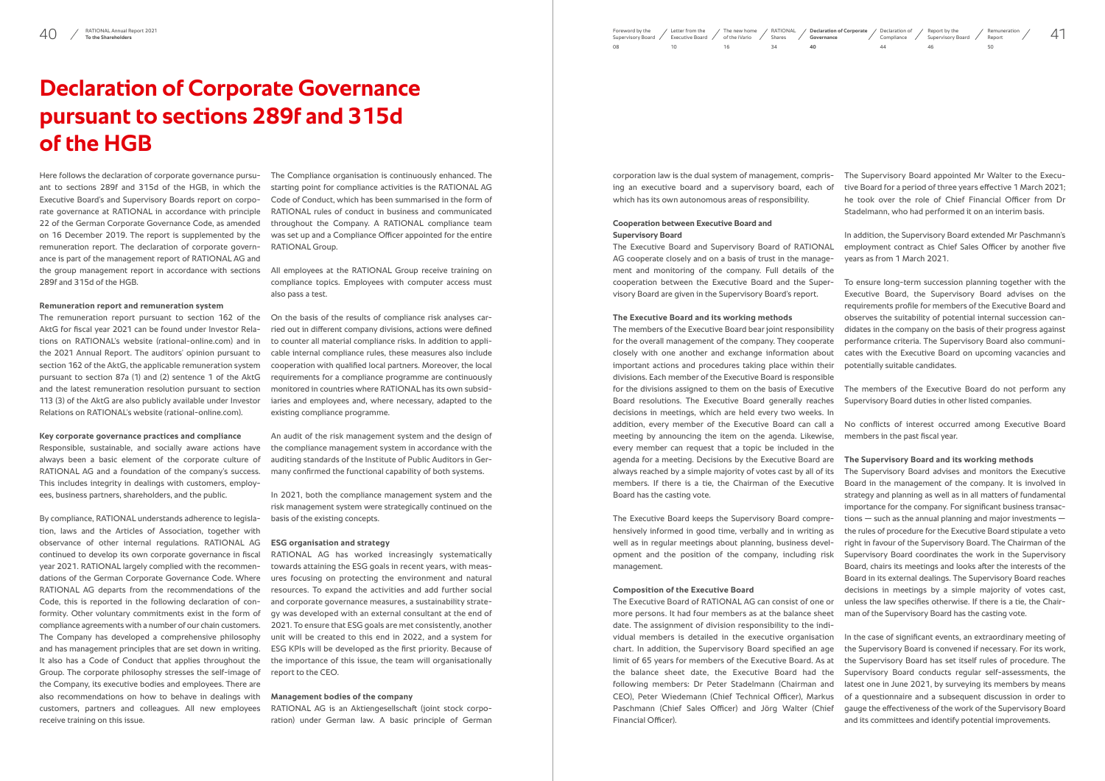corporation law is the dual system of management, comprising an executive board and a supervisory board, each of which has its own autonomous areas of responsibility.

## **Cooperation between Executive Board and Supervisory Board**

AG cooperate closely and on a basis of trust in the management and monitoring of the company. Full details of the cooperation between the Executive Board and the Supervisory Board are given in the Supervisory Board's report.

#### **The Executive Board and its working methods**

The members of the Executive Board bear joint responsibility for the overall management of the company. They cooperate closely with one another and exchange information about important actions and procedures taking place within their divisions. Each member of the Executive Board is responsible for the divisions assigned to them on the basis of Executive Board resolutions. The Executive Board generally reaches decisions in meetings, which are held every two weeks. In meeting by announcing the item on the agenda. Likewise, every member can request that a topic be included in the agenda for a meeting. Decisions by the Executive Board are always reached by a simple majority of votes cast by all of its members. If there is a tie, the Chairman of the Executive Board has the casting vote.

The Executive Board and Supervisory Board of RATIONAL employment contract as Chief Sales Officer by another five In addition, the Supervisory Board extended Mr Paschmann's years as from 1 March 2021.

The Executive Board keeps the Supervisory Board comprehensively informed in good time, verbally and in writing as well as in regular meetings about planning, business development and the position of the company, including risk management.

### **Composition of the Executive Board**

The Executive Board of RATIONAL AG can consist of one or more persons. It had four members as at the balance sheet date. The assignment of division responsibility to the individual members is detailed in the executive organisation chart. In addition, the Supervisory Board specified an age limit of 65 years for members of the Executive Board. As at the balance sheet date, the Executive Board had the following members: Dr Peter Stadelmann (Chairman and CEO), Peter Wiedemann (Chief Technical Officer), Markus Paschmann (Chief Sales Officer) and Jörg Walter (Chief Financial Officer).

addition, every member of the Executive Board can call a No conflicts of interest occurred among Executive Board members in the past fiscal year.

The Supervisory Board appointed Mr Walter to the Executive Board for a period of three years effective 1 March 2021; he took over the role of Chief Financial Officer from Dr Stadelmann, who had performed it on an interim basis.

To ensure long-term succession planning together with the Executive Board, the Supervisory Board advises on the requirements profile for members of the Executive Board and observes the suitability of potential internal succession candidates in the company on the basis of their progress against performance criteria. The Supervisory Board also communicates with the Executive Board on upcoming vacancies and potentially suitable candidates.

The members of the Executive Board do not perform any Supervisory Board duties in other listed companies.

# **The Supervisory Board and its working methods**

The Supervisory Board advises and monitors the Executive Board in the management of the company. It is involved in strategy and planning as well as in all matters of fundamental importance for the company. For significant business transactions  $-$  such as the annual planning and major investments  $$ the rules of procedure for the Executive Board stipulate a veto right in favour of the Supervisory Board. The Chairman of the Supervisory Board coordinates the work in the Supervisory Board, chairs its meetings and looks after the interests of the Board in its external dealings. The Supervisory Board reaches decisions in meetings by a simple majority of votes cast, unless the law specifies otherwise. If there is a tie, the Chairman of the Supervisory Board has the casting vote.

In the case of significant events, an extraordinary meeting of the Supervisory Board is convened if necessary. For its work, the Supervisory Board has set itself rules of procedure. The Supervisory Board conducts regular self-assessments, the latest one in June 2021, by surveying its members by means of a questionnaire and a subsequent discussion in order to gauge the effectiveness of the work of the Supervisory Board and its committees and identify potential improvements.

# <span id="page-0-0"></span>**Declaration of Corporate Governance pursuant to sections 289f and 315d of the HGB**

[Declaration of](#page-2-0)  Compliance  $\overline{A}A$ 

Here follows the declaration of corporate governance pursuant to sections 289f and 315d of the HGB, in which the Executive Board's and Supervisory Boards report on corporate governance at RATIONAL in accordance with principle 22 of the German Corporate Governance Code, as amended on 16 December 2019. The report is supplemented by the remuneration report. The declaration of corporate governance is part of the management report of RATIONAL AG and the group management report in accordance with sections 289f and 315d of the HGB.

#### **Remuneration report and remuneration system**

The remuneration report pursuant to section 162 of the AktG for fiscal year 2021 can be found under Investor Relations on RATIONAL's website ([rational-online.com](http://rational-online.com)) and in the 2021 Annual Report. The auditors' opinion pursuant to section 162 of the AktG, the applicable remuneration system pursuant to section 87a (1) and (2) sentence 1 of the AktG and the latest remuneration resolution pursuant to section 113 (3) of the AktG are also publicly available under Investor Relations on RATIONAL's website [\(rational-online.com](http://rational-online.com)).

#### **Key corporate governance practices and compliance**

Responsible, sustainable, and socially aware actions have always been a basic element of the corporate culture of RATIONAL AG and a foundation of the company's success. This includes integrity in dealings with customers, employees, business partners, shareholders, and the public.

By compliance, RATIONAL understands adherence to legislation, laws and the Articles of Association, together with observance of other internal regulations. RATIONAL AG continued to develop its own corporate governance in fiscal year 2021. RATIONAL largely complied with the recommendations of the German Corporate Governance Code. Where RATIONAL AG departs from the recommendations of the Code, this is reported in the following declaration of conformity. Other voluntary commitments exist in the form of compliance agreements with a number of our chain customers. The Company has developed a comprehensive philosophy and has management principles that are set down in writing. It also has a Code of Conduct that applies throughout the Group. The corporate philosophy stresses the self-image of the Company, its executive bodies and employees. There are also recommendations on how to behave in dealings with customers, partners and colleagues. All new employees receive training on this issue.

The Compliance organisation is continuously enhanced. The starting point for compliance activities is the RATIONAL AG Code of Conduct, which has been summarised in the form of RATIONAL rules of conduct in business and communicated throughout the Company. A RATIONAL compliance team was set up and a Compliance Officer appointed for the entire RATIONAL Group.

All employees at the RATIONAL Group receive training on compliance topics. Employees with computer access must also pass a test.

On the basis of the results of compliance risk analyses carried out in different company divisions, actions were defined to counter all material compliance risks. In addition to applicable internal compliance rules, these measures also include cooperation with qualified local partners. Moreover, the local requirements for a compliance programme are continuously monitored in countries where RATIONAL has its own subsidiaries and employees and, where necessary, adapted to the existing compliance programme.

An audit of the risk management system and the design of the compliance management system in accordance with the auditing standards of the Institute of Public Auditors in Germany confirmed the functional capability of both systems.

In 2021, both the compliance management system and the risk management system were strategically continued on the basis of the existing concepts.

#### **ESG organisation and strategy**

RATIONAL AG has worked increasingly systematically towards attaining the ESG goals in recent years, with measures focusing on protecting the environment and natural resources. To expand the activities and add further social and corporate governance measures, a sustainability strategy was developed with an external consultant at the end of 2021. To ensure that ESG goals are met consistently, another unit will be created to this end in 2022, and a system for ESG KPIs will be developed as the first priority. Because of the importance of this issue, the team will organisationally report to the CEO.

### **Management bodies of the company**

RATIONAL AG is an Aktiengesellschaft (joint stock corporation) under German law. A basic principle of German Report by the [Supervisory Board](#page--1-0) / 46

[Remuneration](#page--1-0) Report 50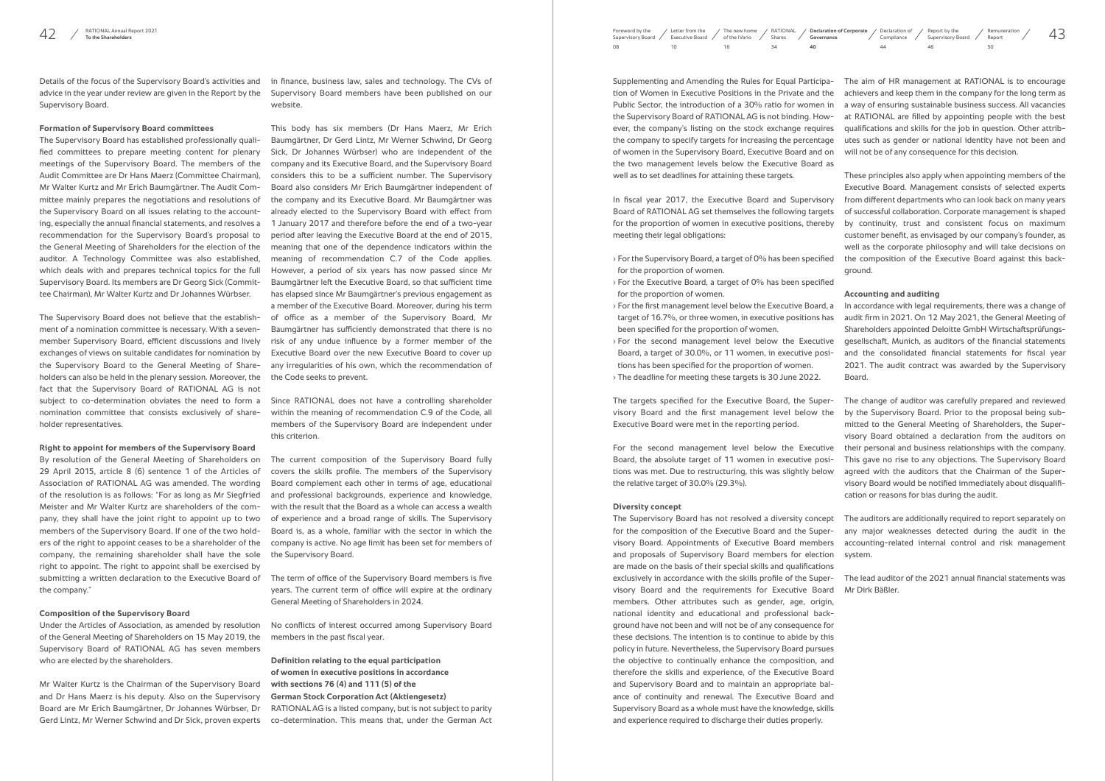Supplementing and Amending the Rules for Equal Participation of Women in Executive Positions in the Private and the Public Sector, the introduction of a 30% ratio for women in the Supervisory Board of RATIONAL AG is not binding. However, the company's listing on the stock exchange requires the company to specify targets for increasing the percentage of women in the Supervisory Board, Executive Board and on the two management levels below the Executive Board as well as to set deadlines for attaining these targets.

In fiscal year 2017, the Executive Board and Supervisory Board of RATIONAL AG set themselves the following targets meeting their legal obligations:

- › For the Supervisory Board, a target of 0% has been specified for the proportion of women.
- › For the Executive Board, a target of 0% has been specified for the proportion of women.
- › For the first management level below the Executive Board, a target of 16.7%, or three women, in executive positions has been specified for the proportion of women.
- Board, a target of 30.0%, or 11 women, in executive positions has been specified for the proportion of women.
- › The deadline for meeting these targets is 30 June 2022.

The targets specified for the Executive Board, the Supervisory Board and the first management level below the Executive Board were met in the reporting period.

For the second management level below the Executive Board, the absolute target of 11 women in executive positions was met. Due to restructuring, this was slightly below the relative target of 30.0% (29.3%).

#### **Diversity concept**

for the proportion of women in executive positions, thereby by continuity, trust and consistent focus on maximum These principles also apply when appointing members of the Executive Board. Management consists of selected experts from different departments who can look back on many years of successful collaboration. Corporate management is shaped customer benefit, as envisaged by our company's founder, as well as the corporate philosophy and will take decisions on the composition of the Executive Board against this background.

for the composition of the Executive Board and the Superand proposals of Supervisory Board members for election system. are made on the basis of their special skills and qualifications exclusively in accordance with the skills profile of the Supervisory Board and the requirements for Executive Board members. Other attributes such as gender, age, origin, national identity and educational and professional background have not been and will not be of any consequence for these decisions. The intention is to continue to abide by this policy in future. Nevertheless, the Supervisory Board pursues the objective to continually enhance the composition, and therefore the skills and experience, of the Executive Board and Supervisory Board and to maintain an appropriate balance of continuity and renewal. The Executive Board and Supervisory Board as a whole must have the knowledge, skills and experience required to discharge their duties properly.

› For the second management level below the Executive gesellschaft, Munich, as auditors of the financial statements In accordance with legal requirements, there was a change of audit firm in 2021. On 12 May 2021, the General Meeting of Shareholders appointed Deloitte GmbH Wirtschaftsprüfungsand the consolidated financial statements for fiscal year 2021. The audit contract was awarded by the Supervisory Board.

The aim of HR management at RATIONAL is to encourage achievers and keep them in the company for the long term as a way of ensuring sustainable business success. All vacancies at RATIONAL are filled by appointing people with the best qualifications and skills for the job in question. Other attributes such as gender or national identity have not been and will not be of any consequence for this decision.

The Supervisory Board has not resolved a diversity concept The auditors are additionally required to report separately on visory Board. Appointments of Executive Board members accounting-related internal control and risk management any major weaknesses detected during the audit in the

# **Accounting and auditing**

The change of auditor was carefully prepared and reviewed by the Supervisory Board. Prior to the proposal being submitted to the General Meeting of Shareholders, the Supervisory Board obtained a declaration from the auditors on their personal and business relationships with the company. This gave no rise to any objections. The Supervisory Board agreed with the auditors that the Chairman of the Supervisory Board would be notified immediately about disqualification or reasons for bias during the audit.

The lead auditor of the 2021 annual financial statements was Mr Dirk Bäßler.

Details of the focus of the Supervisory Board's activities and advice in the year under review are given in the Report by the Supervisory Board.

### **Formation of Supervisory Board committees**

AQ / RATIONALAnnual Report 2021 Memuneration / Memuneration / ACC / The new home / RATIONAL / Declaration of Corporate / Declaration of Corporate / Report by the / Remuneration / 43 [Supervisory Board](#page--1-0) /  $08$ Letter from the [Executive Board](#page--1-0) /  $10$ [RATIONAL](#page--1-0)  Shares  $34$ [The new home](#page--1-0)  of the iVario 16 **Declaration of Corporate Governance 40**

The Supervisory Board has established professionally qualified committees to prepare meeting content for plenary meetings of the Supervisory Board. The members of the Audit Committee are Dr Hans Maerz (Committee Chairman), Mr Walter Kurtz and Mr Erich Baumgärtner. The Audit Committee mainly prepares the negotiations and resolutions of the Supervisory Board on all issues relating to the accounting, especially the annual financial statements, and resolves a recommendation for the Supervisory Board's proposal to the General Meeting of Shareholders for the election of the auditor. A Technology Committee was also established, which deals with and prepares technical topics for the full Supervisory Board. Its members are Dr Georg Sick (Committee Chairman), Mr Walter Kurtz and Dr Johannes Würbser.

The Supervisory Board does not believe that the establishment of a nomination committee is necessary. With a sevenmember Supervisory Board, efficient discussions and lively exchanges of views on suitable candidates for nomination by the Supervisory Board to the General Meeting of Shareholders can also be held in the plenary session. Moreover, the fact that the Supervisory Board of RATIONAL AG is not subject to co-determination obviates the need to form a nomination committee that consists exclusively of shareholder representatives.

#### **Right to appoint for members of the Supervisory Board**

By resolution of the General Meeting of Shareholders on 29 April 2015, article 8 (6) sentence 1 of the Articles of Association of RATIONAL AG was amended. The wording of the resolution is as follows: "For as long as Mr Siegfried Meister and Mr Walter Kurtz are shareholders of the company, they shall have the joint right to appoint up to two members of the Supervisory Board. If one of the two holders of the right to appoint ceases to be a shareholder of the company, the remaining shareholder shall have the sole right to appoint. The right to appoint shall be exercised by submitting a written declaration to the Executive Board of the company."

#### **Composition of the Supervisory Board**

Under the Articles of Association, as amended by resolution of the General Meeting of Shareholders on 15 May 2019, the Supervisory Board of RATIONAL AG has seven members who are elected by the shareholders.

in finance, business law, sales and technology. The CVs of Supervisory Board members have been published on our website.

This body has six members (Dr Hans Maerz, Mr Erich Baumgärtner, Dr Gerd Lintz, Mr Werner Schwind, Dr Georg Sick, Dr Johannes Würbser) who are independent of the company and its Executive Board, and the Supervisory Board considers this to be a sufficient number. The Supervisory Board also considers Mr Erich Baumgärtner independent of the company and its Executive Board. Mr Baumgärtner was already elected to the Supervisory Board with effect from 1 January 2017 and therefore before the end of a two-year period after leaving the Executive Board at the end of 2015, meaning that one of the dependence indicators within the meaning of recommendation C.7 of the Code applies. However, a period of six years has now passed since Mr Baumgärtner left the Executive Board, so that sufficient time has elapsed since Mr Baumgärtner's previous engagement as a member of the Executive Board. Moreover, during his term of office as a member of the Supervisory Board, Mr Baumgärtner has sufficiently demonstrated that there is no risk of any undue influence by a former member of the Executive Board over the new Executive Board to cover up any irregularities of his own, which the recommendation of the Code seeks to prevent.

Mr Walter Kurtz is the Chairman of the Supervisory Board and Dr Hans Maerz is his deputy. Also on the Supervisory Board are Mr Erich Baumgärtner, Dr Johannes Würbser, Dr Gerd Lintz, Mr Werner Schwind and Dr Sick, proven experts co-determination. This means that, under the German Act

Since RATIONAL does not have a controlling shareholder within the meaning of recommendation C.9 of the Code, all members of the Supervisory Board are independent under this criterion.

The current composition of the Supervisory Board fully covers the skills profile. The members of the Supervisory Board complement each other in terms of age, educational and professional backgrounds, experience and knowledge, with the result that the Board as a whole can access a wealth of experience and a broad range of skills. The Supervisory Board is, as a whole, familiar with the sector in which the company is active. No age limit has been set for members of the Supervisory Board.

The term of office of the Supervisory Board members is five years. The current term of office will expire at the ordinary General Meeting of Shareholders in 2024.

No conflicts of interest occurred among Supervisory Board members in the past fiscal year.

**Definition relating to the equal participation of women in executive positions in accordance with sections 76 (4) and 111 (5) of the German Stock Corporation Act (Aktiengesetz)** RATIONAL AG is a listed company, but is not subject to parity

[Declaration of](#page-2-0)  Compliance

Report by the [Supervisory Board](#page--1-0) / 46

[Remuneration](#page--1-0) Report 50